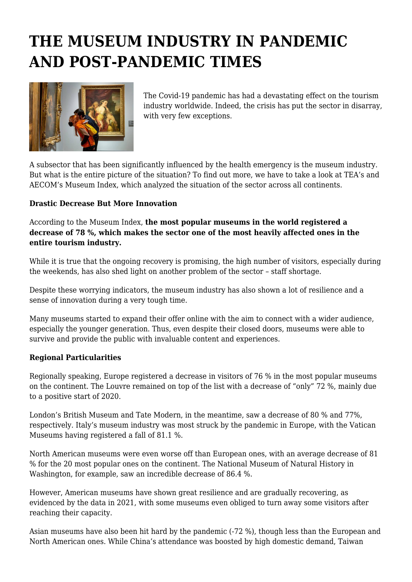# **THE MUSEUM INDUSTRY IN PANDEMIC AND POST-PANDEMIC TIMES**



The Covid-19 pandemic has had a devastating effect on the tourism industry worldwide. Indeed, the crisis has put the sector in disarray, with very few exceptions.

A subsector that has been significantly influenced by the health emergency is the museum industry. But what is the entire picture of the situation? To find out more, we have to take a look at TEA's and AECOM's Museum Index, which analyzed the situation of the sector across all continents.

## **Drastic Decrease But More Innovation**

According to the Museum Index, **the most popular museums in the world registered a decrease of 78 %, which makes the sector one of the most heavily affected ones in the entire tourism industry.**

While it is true that the ongoing recovery is promising, the high number of visitors, especially during the weekends, has also shed light on another problem of the sector – staff shortage.

Despite these worrying indicators, the museum industry has also shown a lot of resilience and a sense of innovation during a very tough time.

Many museums started to expand their offer online with the aim to connect with a wider audience, especially the younger generation. Thus, even despite their closed doors, museums were able to survive and provide the public with invaluable content and experiences.

#### **Regional Particularities**

Regionally speaking, Europe registered a decrease in visitors of 76 % in the most popular museums on the continent. The Louvre remained on top of the list with a decrease of "only" 72 %, mainly due to a positive start of 2020.

London's British Museum and Tate Modern, in the meantime, saw a decrease of 80 % and 77%, respectively. Italy's museum industry was most struck by the pandemic in Europe, with the Vatican Museums having registered a fall of 81.1 %.

North American museums were even worse off than European ones, with an average decrease of 81 % for the 20 most popular ones on the continent. The National Museum of Natural History in Washington, for example, saw an incredible decrease of 86.4 %.

However, American museums have shown great resilience and are gradually recovering, as evidenced by the data in 2021, with some museums even obliged to turn away some visitors after reaching their capacity.

Asian museums have also been hit hard by the pandemic (-72 %), though less than the European and North American ones. While China's attendance was boosted by high domestic demand, Taiwan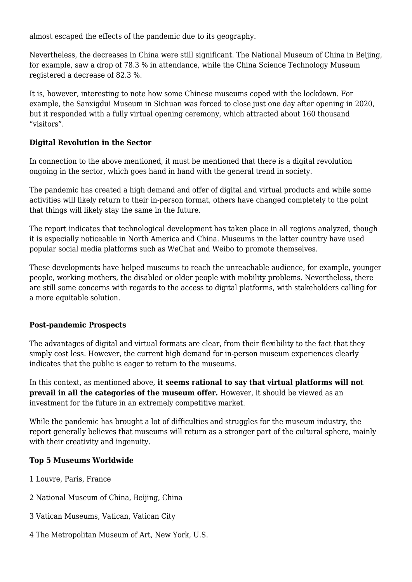almost escaped the effects of the pandemic due to its geography.

Nevertheless, the decreases in China were still significant. The National Museum of China in Beijing, for example, saw a drop of 78.3 % in attendance, while the China Science Technology Museum registered a decrease of 82.3 %.

It is, however, interesting to note how some Chinese museums coped with the lockdown. For example, the Sanxigdui Museum in Sichuan was forced to close just one day after opening in 2020, but it responded with a fully virtual opening ceremony, which attracted about 160 thousand "visitors".

## **Digital Revolution in the Sector**

In connection to the above mentioned, it must be mentioned that there is a digital revolution ongoing in the sector, which goes hand in hand with the general trend in society.

The pandemic has created a high demand and offer of digital and virtual products and while some activities will likely return to their in-person format, others have changed completely to the point that things will likely stay the same in the future.

The report indicates that technological development has taken place in all regions analyzed, though it is especially noticeable in North America and China. Museums in the latter country have used popular social media platforms such as WeChat and Weibo to promote themselves.

These developments have helped museums to reach the unreachable audience, for example, younger people, working mothers, the disabled or older people with mobility problems. Nevertheless, there are still some concerns with regards to the access to digital platforms, with stakeholders calling for a more equitable solution.

#### **Post-pandemic Prospects**

The advantages of digital and virtual formats are clear, from their flexibility to the fact that they simply cost less. However, the current high demand for in-person museum experiences clearly indicates that the public is eager to return to the museums.

In this context, as mentioned above, **it seems rational to say that virtual platforms will not prevail in all the categories of the museum offer.** However, it should be viewed as an investment for the future in an extremely competitive market.

While the pandemic has brought a lot of difficulties and struggles for the museum industry, the report generally believes that museums will return as a stronger part of the cultural sphere, mainly with their creativity and ingenuity.

## **Top 5 Museums Worldwide**

- 1 Louvre, Paris, France
- 2 National Museum of China, Beijing, China
- 3 Vatican Museums, Vatican, Vatican City
- 4 The Metropolitan Museum of Art, New York, U.S.